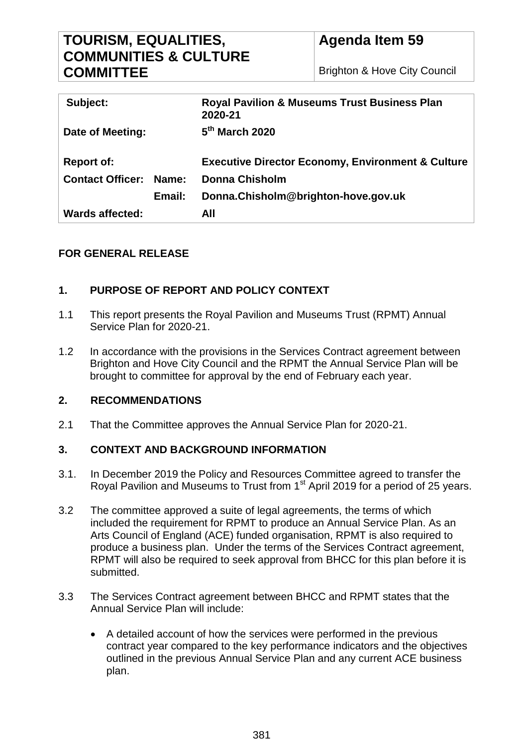# **TOURISM, EQUALITIES, COMMUNITIES & CULTURE COMMITTEE**

| Subject:                      |        | <b>Royal Pavilion &amp; Museums Trust Business Plan</b><br>2020-21 |
|-------------------------------|--------|--------------------------------------------------------------------|
| Date of Meeting:              |        | $5th$ March 2020                                                   |
| <b>Report of:</b>             |        | <b>Executive Director Economy, Environment &amp; Culture</b>       |
| <b>Contact Officer: Name:</b> |        | <b>Donna Chisholm</b>                                              |
|                               | Email: | Donna.Chisholm@brighton-hove.gov.uk                                |
| Wards affected:               |        | All                                                                |

# **FOR GENERAL RELEASE**

# **1. PURPOSE OF REPORT AND POLICY CONTEXT**

- 1.1 This report presents the Royal Pavilion and Museums Trust (RPMT) Annual Service Plan for 2020-21.
- 1.2 In accordance with the provisions in the Services Contract agreement between Brighton and Hove City Council and the RPMT the Annual Service Plan will be brought to committee for approval by the end of February each year.

# **2. RECOMMENDATIONS**

2.1 That the Committee approves the Annual Service Plan for 2020-21.

# **3. CONTEXT AND BACKGROUND INFORMATION**

- 3.1. In December 2019 the Policy and Resources Committee agreed to transfer the Royal Pavilion and Museums to Trust from 1<sup>st</sup> April 2019 for a period of 25 years.
- 3.2 The committee approved a suite of legal agreements, the terms of which included the requirement for RPMT to produce an Annual Service Plan. As an Arts Council of England (ACE) funded organisation, RPMT is also required to produce a business plan. Under the terms of the Services Contract agreement, RPMT will also be required to seek approval from BHCC for this plan before it is submitted.
- 3.3 The Services Contract agreement between BHCC and RPMT states that the Annual Service Plan will include:
	- A detailed account of how the services were performed in the previous contract year compared to the key performance indicators and the objectives outlined in the previous Annual Service Plan and any current ACE business plan.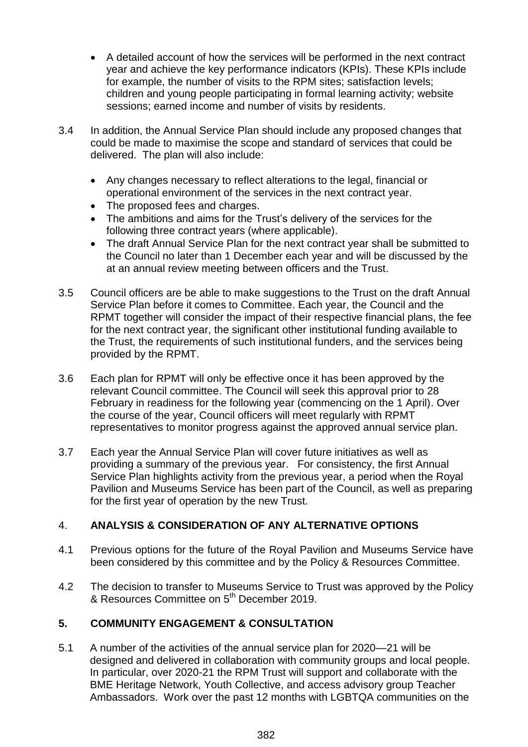- A detailed account of how the services will be performed in the next contract year and achieve the key performance indicators (KPIs). These KPIs include for example, the number of visits to the RPM sites; satisfaction levels; children and young people participating in formal learning activity; website sessions; earned income and number of visits by residents.
- 3.4 In addition, the Annual Service Plan should include any proposed changes that could be made to maximise the scope and standard of services that could be delivered. The plan will also include:
	- Any changes necessary to reflect alterations to the legal, financial or operational environment of the services in the next contract year.
	- The proposed fees and charges.
	- The ambitions and aims for the Trust's delivery of the services for the following three contract years (where applicable).
	- The draft Annual Service Plan for the next contract year shall be submitted to the Council no later than 1 December each year and will be discussed by the at an annual review meeting between officers and the Trust.
- 3.5 Council officers are be able to make suggestions to the Trust on the draft Annual Service Plan before it comes to Committee. Each year, the Council and the RPMT together will consider the impact of their respective financial plans, the fee for the next contract year, the significant other institutional funding available to the Trust, the requirements of such institutional funders, and the services being provided by the RPMT.
- 3.6 Each plan for RPMT will only be effective once it has been approved by the relevant Council committee. The Council will seek this approval prior to 28 February in readiness for the following year (commencing on the 1 April). Over the course of the year, Council officers will meet regularly with RPMT representatives to monitor progress against the approved annual service plan.
- 3.7 Each year the Annual Service Plan will cover future initiatives as well as providing a summary of the previous year. For consistency, the first Annual Service Plan highlights activity from the previous year, a period when the Royal Pavilion and Museums Service has been part of the Council, as well as preparing for the first year of operation by the new Trust.

# 4. **ANALYSIS & CONSIDERATION OF ANY ALTERNATIVE OPTIONS**

- 4.1 Previous options for the future of the Royal Pavilion and Museums Service have been considered by this committee and by the Policy & Resources Committee.
- 4.2 The decision to transfer to Museums Service to Trust was approved by the Policy & Resources Committee on 5th December 2019.

# **5. COMMUNITY ENGAGEMENT & CONSULTATION**

5.1 A number of the activities of the annual service plan for 2020—21 will be designed and delivered in collaboration with community groups and local people. In particular, over 2020-21 the RPM Trust will support and collaborate with the BME Heritage Network, Youth Collective, and access advisory group Teacher Ambassadors. Work over the past 12 months with LGBTQA communities on the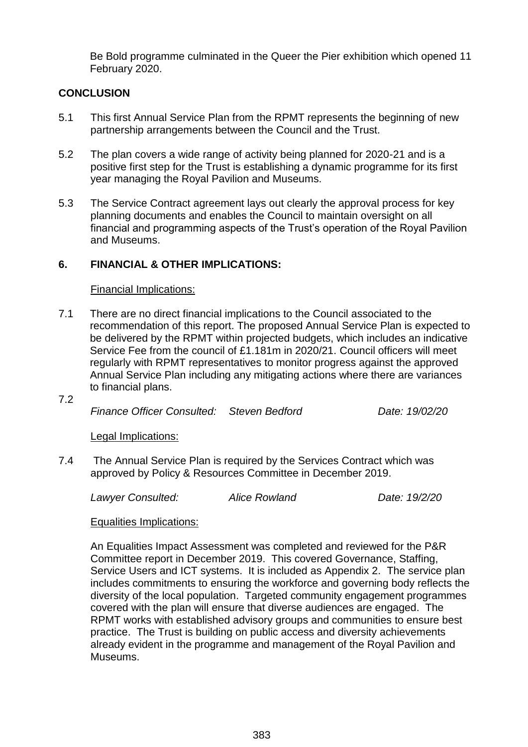Be Bold programme culminated in the Queer the Pier exhibition which opened 11 February 2020.

### **CONCLUSION**

- 5.1 This first Annual Service Plan from the RPMT represents the beginning of new partnership arrangements between the Council and the Trust.
- 5.2 The plan covers a wide range of activity being planned for 2020-21 and is a positive first step for the Trust is establishing a dynamic programme for its first year managing the Royal Pavilion and Museums.
- 5.3 The Service Contract agreement lays out clearly the approval process for key planning documents and enables the Council to maintain oversight on all financial and programming aspects of the Trust's operation of the Royal Pavilion and Museums.

#### **6. FINANCIAL & OTHER IMPLICATIONS:**

#### Financial Implications:

- 7.1 There are no direct financial implications to the Council associated to the recommendation of this report. The proposed Annual Service Plan is expected to be delivered by the RPMT within projected budgets, which includes an indicative Service Fee from the council of £1.181m in 2020/21. Council officers will meet regularly with RPMT representatives to monitor progress against the approved Annual Service Plan including any mitigating actions where there are variances to financial plans.
- 7.2

*Finance Officer Consulted: Steven Bedford Date: 19/02/20*

Legal Implications:

7.4 The Annual Service Plan is required by the Services Contract which was approved by Policy & Resources Committee in December 2019.

*Lawyer Consulted: Alice Rowland Date: 19/2/20* 

#### Equalities Implications:

An Equalities Impact Assessment was completed and reviewed for the P&R Committee report in December 2019. This covered Governance, Staffing, Service Users and ICT systems. It is included as Appendix 2. The service plan includes commitments to ensuring the workforce and governing body reflects the diversity of the local population. Targeted community engagement programmes covered with the plan will ensure that diverse audiences are engaged. The RPMT works with established advisory groups and communities to ensure best practice. The Trust is building on public access and diversity achievements already evident in the programme and management of the Royal Pavilion and Museums.